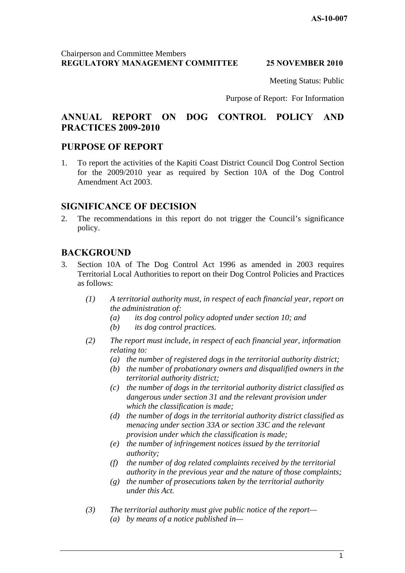Meeting Status: Public

Purpose of Report: For Information

# **ANNUAL REPORT ON DOG CONTROL POLICY AND PRACTICES 2009-2010**

# **PURPOSE OF REPORT**

1. To report the activities of the Kapiti Coast District Council Dog Control Section for the 2009/2010 year as required by Section 10A of the Dog Control Amendment Act 2003.

# **SIGNIFICANCE OF DECISION**

2. The recommendations in this report do not trigger the Council's significance policy.

# **BACKGROUND**

- 3. Section 10A of The Dog Control Act 1996 as amended in 2003 requires Territorial Local Authorities to report on their Dog Control Policies and Practices as follows:
	- *(1) A territorial authority must, in respect of each financial year, report on the administration of:* 
		- *(a) its dog control policy adopted under section 10; and*
		- *(b) its dog control practices.*
	- *(2) The report must include, in respect of each financial year, information relating to:* 
		- *(a) the number of registered dogs in the territorial authority district;*
		- *(b) the number of probationary owners and disqualified owners in the territorial authority district;*
		- *(c) the number of dogs in the territorial authority district classified as dangerous under section 31 and the relevant provision under which the classification is made;*
		- *(d) the number of dogs in the territorial authority district classified as menacing under section 33A or section 33C and the relevant provision under which the classification is made;*
		- *(e) the number of infringement notices issued by the territorial authority;*
		- *(f) the number of dog related complaints received by the territorial authority in the previous year and the nature of those complaints;*
		- *(g) the number of prosecutions taken by the territorial authority under this Act.*
	- *(3) The territorial authority must give public notice of the report— (a) by means of a notice published in—*

1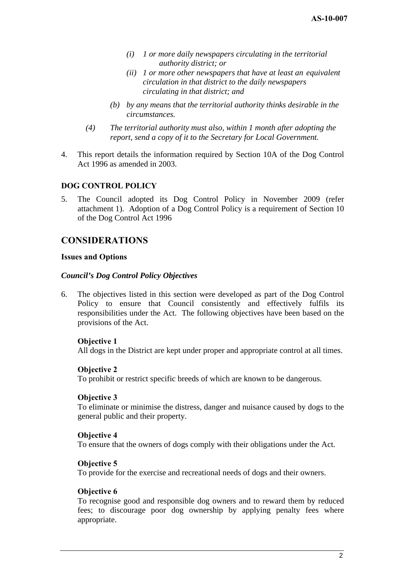- *(i) 1 or more daily newspapers circulating in the territorial authority district; or*
- *(ii) 1 or more other newspapers that have at least an equivalent circulation in that district to the daily newspapers circulating in that district; and*
- *(b) by any means that the territorial authority thinks desirable in the circumstances.*
- *(4) The territorial authority must also, within 1 month after adopting the report, send a copy of it to the Secretary for Local Government.*
- 4. This report details the information required by Section 10A of the Dog Control Act 1996 as amended in 2003.

# **DOG CONTROL POLICY**

5. The Council adopted its Dog Control Policy in November 2009 (refer attachment 1). Adoption of a Dog Control Policy is a requirement of Section 10 of the Dog Control Act 1996

# **CONSIDERATIONS**

#### **Issues and Options**

#### *Council's Dog Control Policy Objectives*

6. The objectives listed in this section were developed as part of the Dog Control Policy to ensure that Council consistently and effectively fulfils its responsibilities under the Act. The following objectives have been based on the provisions of the Act.

#### **Objective 1**

All dogs in the District are kept under proper and appropriate control at all times.

#### **Objective 2**

To prohibit or restrict specific breeds of which are known to be dangerous.

#### **Objective 3**

To eliminate or minimise the distress, danger and nuisance caused by dogs to the general public and their property.

#### **Objective 4**

To ensure that the owners of dogs comply with their obligations under the Act.

#### **Objective 5**

To provide for the exercise and recreational needs of dogs and their owners.

#### **Objective 6**

To recognise good and responsible dog owners and to reward them by reduced fees; to discourage poor dog ownership by applying penalty fees where appropriate.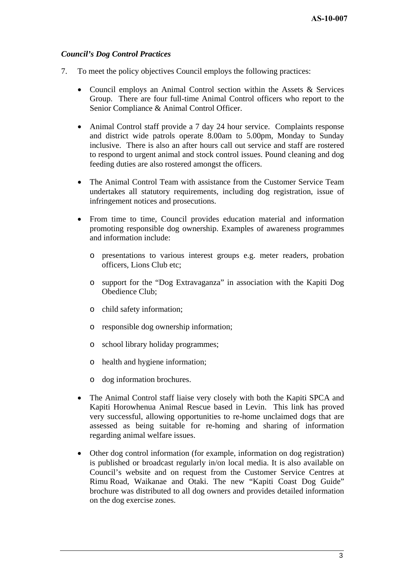### *Council's Dog Control Practices*

- 7. To meet the policy objectives Council employs the following practices:
	- Council employs an Animal Control section within the Assets & Services Group. There are four full-time Animal Control officers who report to the Senior Compliance & Animal Control Officer.
	- Animal Control staff provide a 7 day 24 hour service. Complaints response and district wide patrols operate 8.00am to 5.00pm, Monday to Sunday inclusive. There is also an after hours call out service and staff are rostered to respond to urgent animal and stock control issues. Pound cleaning and dog feeding duties are also rostered amongst the officers.
	- The Animal Control Team with assistance from the Customer Service Team undertakes all statutory requirements, including dog registration, issue of infringement notices and prosecutions.
	- From time to time, Council provides education material and information promoting responsible dog ownership. Examples of awareness programmes and information include:
		- o presentations to various interest groups e.g. meter readers, probation officers, Lions Club etc;
		- o support for the "Dog Extravaganza" in association with the Kapiti Dog Obedience Club;
		- o child safety information;
		- o responsible dog ownership information;
		- o school library holiday programmes;
		- o health and hygiene information;
		- o dog information brochures.
	- The Animal Control staff liaise very closely with both the Kapiti SPCA and Kapiti Horowhenua Animal Rescue based in Levin. This link has proved very successful, allowing opportunities to re-home unclaimed dogs that are assessed as being suitable for re-homing and sharing of information regarding animal welfare issues.
	- Other dog control information (for example, information on dog registration) is published or broadcast regularly in/on local media. It is also available on Council's website and on request from the Customer Service Centres at Rimu Road, Waikanae and Otaki. The new "Kapiti Coast Dog Guide" brochure was distributed to all dog owners and provides detailed information on the dog exercise zones.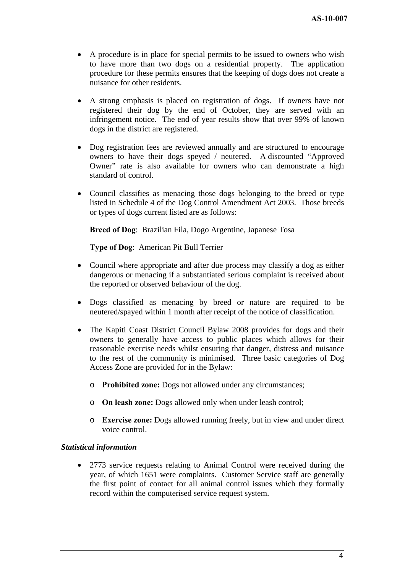- A procedure is in place for special permits to be issued to owners who wish to have more than two dogs on a residential property. The application procedure for these permits ensures that the keeping of dogs does not create a nuisance for other residents.
- A strong emphasis is placed on registration of dogs. If owners have not registered their dog by the end of October, they are served with an infringement notice. The end of year results show that over 99% of known dogs in the district are registered.
- Dog registration fees are reviewed annually and are structured to encourage owners to have their dogs speyed / neutered. A discounted "Approved Owner" rate is also available for owners who can demonstrate a high standard of control.
- Council classifies as menacing those dogs belonging to the breed or type listed in Schedule 4 of the Dog Control Amendment Act 2003. Those breeds or types of dogs current listed are as follows:

**Breed of Dog**: Brazilian Fila, Dogo Argentine, Japanese Tosa

**Type of Dog**: American Pit Bull Terrier

- Council where appropriate and after due process may classify a dog as either dangerous or menacing if a substantiated serious complaint is received about the reported or observed behaviour of the dog.
- Dogs classified as menacing by breed or nature are required to be neutered/spayed within 1 month after receipt of the notice of classification.
- The Kapiti Coast District Council Bylaw 2008 provides for dogs and their owners to generally have access to public places which allows for their reasonable exercise needs whilst ensuring that danger, distress and nuisance to the rest of the community is minimised. Three basic categories of Dog Access Zone are provided for in the Bylaw:
	- o **Prohibited zone:** Dogs not allowed under any circumstances;
	- o **On leash zone:** Dogs allowed only when under leash control;
	- o **Exercise zone:** Dogs allowed running freely, but in view and under direct voice control.

#### *Statistical information*

• 2773 service requests relating to Animal Control were received during the year, of which 1651 were complaints. Customer Service staff are generally the first point of contact for all animal control issues which they formally record within the computerised service request system.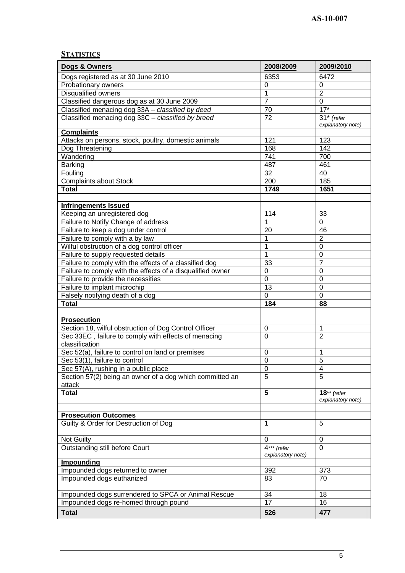# **STATISTICS**

| Dogs & Owners                                              | 2008/2009                 | 2009/2010           |
|------------------------------------------------------------|---------------------------|---------------------|
| Dogs registered as at 30 June 2010                         | 6353                      | 6472                |
| Probationary owners                                        | 0                         | 0                   |
| Disqualified owners                                        | 1                         | $\overline{2}$      |
| Classified dangerous dog as at 30 June 2009                | $\overline{7}$            | 0                   |
| Classified menacing dog 33A - classified by deed           | 70                        | $17*$               |
| Classified menacing dog 33C - classified by breed          | 72                        | $31*$ (refer        |
|                                                            |                           | explanatory note)   |
| <b>Complaints</b>                                          |                           |                     |
| Attacks on persons, stock, poultry, domestic animals       | 121                       | 123                 |
| Dog Threatening                                            | 168                       | 142                 |
| Wandering                                                  | 741                       | 700                 |
| <b>Barking</b>                                             | 487                       | 461                 |
| Fouling                                                    | 32                        | 40                  |
| <b>Complaints about Stock</b>                              | 200                       | 185                 |
| <b>Total</b>                                               | 1749                      | 1651                |
|                                                            |                           |                     |
| <b>Infringements Issued</b>                                |                           |                     |
| Keeping an unregistered dog                                | 114                       | 33                  |
| Failure to Notify Change of address                        | 1                         | 0                   |
| Failure to keep a dog under control                        | 20                        | 46                  |
| Failure to comply with a by law                            | 1                         | $\overline{2}$      |
| Wilful obstruction of a dog control officer                | 1                         | 0                   |
| Failure to supply requested details                        | 1                         | 0                   |
| Failure to comply with the effects of a classified dog     | 33                        | $\overline{7}$      |
| Failure to comply with the effects of a disqualified owner | $\mathbf 0$               | $\overline{0}$      |
| Failure to provide the necessities                         | $\overline{0}$            | $\overline{0}$      |
| Failure to implant microchip                               | 13                        | 0                   |
| Falsely notifying death of a dog                           | $\mathbf 0$               | 0                   |
| <b>Total</b>                                               | 184                       | 88                  |
|                                                            |                           |                     |
| <b>Prosecution</b>                                         |                           |                     |
| Section 18, wilful obstruction of Dog Control Officer      | 0                         | 1                   |
| Sec 33EC, failure to comply with effects of menacing       | $\mathbf 0$               | $\overline{2}$      |
| classification                                             |                           |                     |
| Sec 52(a), failure to control on land or premises          | $\pmb{0}$                 | 1                   |
| Sec 53(1), failure to control                              | $\overline{0}$            | $\overline{5}$      |
| Sec 57(A), rushing in a public place                       | 0                         | 4<br>$\overline{5}$ |
| Section 57(2) being an owner of a dog which committed an   | $\overline{5}$            |                     |
| attack<br><b>Total</b>                                     | $5\phantom{.0}$           | $18**$ (refer       |
|                                                            |                           | explanatory note)   |
|                                                            |                           |                     |
| <b>Prosecution Outcomes</b>                                |                           |                     |
| Guilty & Order for Destruction of Dog                      | 1                         | 5                   |
|                                                            |                           |                     |
| Not Guilty                                                 | 0                         | 0                   |
| Outstanding still before Court                             | $\overline{4}$ *** (refer | $\overline{0}$      |
|                                                            | explanatory note)         |                     |
| <b>Impounding</b>                                          |                           |                     |
| Impounded dogs returned to owner                           | 392                       | 373                 |
| Impounded dogs euthanized                                  | 83                        | 70                  |
|                                                            |                           |                     |
| Impounded dogs surrendered to SPCA or Animal Rescue        | 34                        | 18                  |
| Impounded dogs re-homed through pound                      | 17                        | 16                  |
| <b>Total</b>                                               | 526                       | 477                 |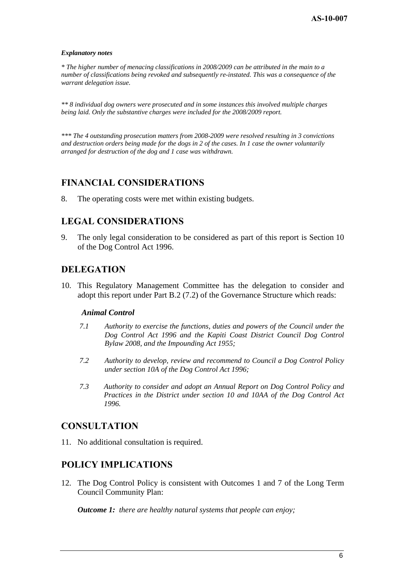#### *Explanatory notes*

*\* The higher number of menacing classifications in 2008/2009 can be attributed in the main to a number of classifications being revoked and subsequently re-instated. This was a consequence of the warrant delegation issue.* 

*\*\* 8 individual dog owners were prosecuted and in some instances this involved multiple charges being laid. Only the substantive charges were included for the 2008/2009 report.* 

*\*\*\* The 4 outstanding prosecution matters from 2008-2009 were resolved resulting in 3 convictions and destruction orders being made for the dogs in 2 of the cases. In 1 case the owner voluntarily arranged for destruction of the dog and 1 case was withdrawn.* 

# **FINANCIAL CONSIDERATIONS**

8. The operating costs were met within existing budgets.

# **LEGAL CONSIDERATIONS**

9. The only legal consideration to be considered as part of this report is Section 10 of the Dog Control Act 1996.

# **DELEGATION**

10. This Regulatory Management Committee has the delegation to consider and adopt this report under Part B.2 (7.2) of the Governance Structure which reads:

#### *Animal Control*

- *7.1 Authority to exercise the functions, duties and powers of the Council under the Dog Control Act 1996 and the Kapiti Coast District Council Dog Control Bylaw 2008, and the Impounding Act 1955;*
- *7.2 Authority to develop, review and recommend to Council a Dog Control Policy under section 10A of the Dog Control Act 1996;*
- *7.3 Authority to consider and adopt an Annual Report on Dog Control Policy and Practices in the District under section 10 and 10AA of the Dog Control Act 1996.*

# **CONSULTATION**

11. No additional consultation is required.

# **POLICY IMPLICATIONS**

12. The Dog Control Policy is consistent with Outcomes 1 and 7 of the Long Term Council Community Plan:

*Outcome 1: there are healthy natural systems that people can enjoy;*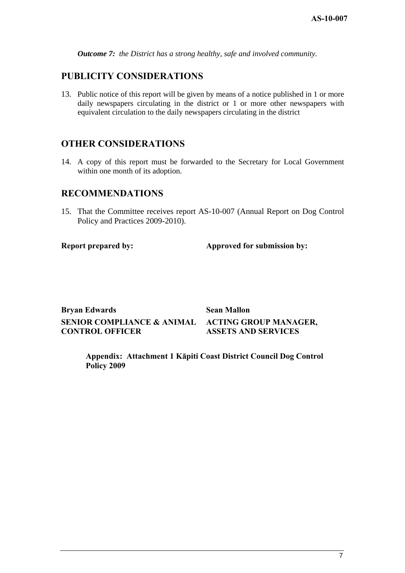*Outcome 7: the District has a strong healthy, safe and involved community.*

# **PUBLICITY CONSIDERATIONS**

13. Public notice of this report will be given by means of a notice published in 1 or more daily newspapers circulating in the district or 1 or more other newspapers with equivalent circulation to the daily newspapers circulating in the district

# **OTHER CONSIDERATIONS**

14. A copy of this report must be forwarded to the Secretary for Local Government within one month of its adoption.

### **RECOMMENDATIONS**

15. That the Committee receives report AS-10-007 (Annual Report on Dog Control Policy and Practices 2009-2010).

**Report prepared by:** Approved for submission by:

**Bryan Edwards** Sean Mallon **SENIOR COMPLIANCE & ANIMAL CONTROL OFFICER** 

**ACTING GROUP MANAGER, ASSETS AND SERVICES** 

**Appendix: Attachment 1 Kāpiti Coast District Council Dog Control Policy 2009**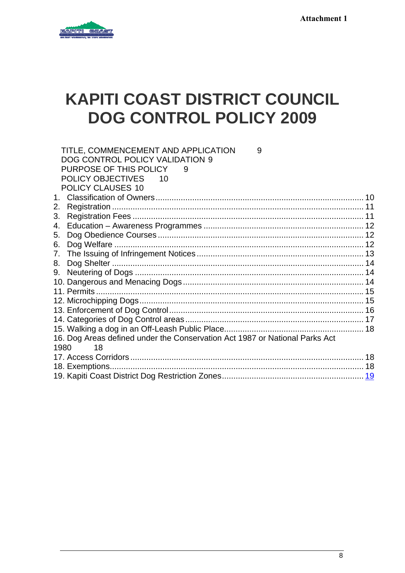

# **KAPITI COAST DISTRICT COUNCIL DOG CONTROL POLICY 2009**

|    | TITLE, COMMENCEMENT AND APPLICATION<br>9                                    |  |
|----|-----------------------------------------------------------------------------|--|
|    | DOG CONTROL POLICY VALIDATION 9                                             |  |
|    | PURPOSE OF THIS POLICY                                                      |  |
|    | <b>POLICY OBJECTIVES</b><br>10                                              |  |
|    | POLICY CLAUSES 10                                                           |  |
|    |                                                                             |  |
| 2. |                                                                             |  |
| 3. |                                                                             |  |
| 4. |                                                                             |  |
| 5. |                                                                             |  |
| 6. |                                                                             |  |
| 7. |                                                                             |  |
| 8. |                                                                             |  |
| 9. |                                                                             |  |
|    |                                                                             |  |
|    |                                                                             |  |
|    |                                                                             |  |
|    |                                                                             |  |
|    |                                                                             |  |
|    |                                                                             |  |
|    | 16. Dog Areas defined under the Conservation Act 1987 or National Parks Act |  |
|    | 1980 —<br>18                                                                |  |
|    |                                                                             |  |
|    |                                                                             |  |
|    |                                                                             |  |
|    |                                                                             |  |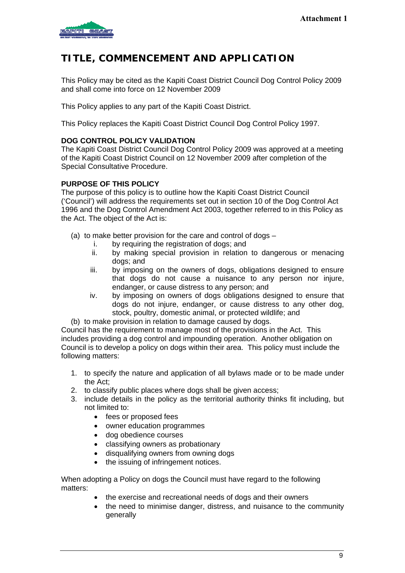<span id="page-8-0"></span>

# **TITLE, COMMENCEMENT AND APPLICATION**

This Policy may be cited as the Kapiti Coast District Council Dog Control Policy 2009 and shall come into force on 12 November 2009

This Policy applies to any part of the Kapiti Coast District.

This Policy replaces the Kapiti Coast District Council Dog Control Policy 1997.

### **DOG CONTROL POLICY VALIDATION**

The Kapiti Coast District Council Dog Control Policy 2009 was approved at a meeting of the Kapiti Coast District Council on 12 November 2009 after completion of the Special Consultative Procedure.

### **PURPOSE OF THIS POLICY**

The purpose of this policy is to outline how the Kapiti Coast District Council ('Council') will address the requirements set out in section 10 of the Dog Control Act 1996 and the Dog Control Amendment Act 2003, together referred to in this Policy as the Act. The object of the Act is:

- (a) to make better provision for the care and control of dogs
	- i. by requiring the registration of dogs; and
	- ii. by making special provision in relation to dangerous or menacing dogs; and
	- iii. by imposing on the owners of dogs, obligations designed to ensure that dogs do not cause a nuisance to any person nor injure, endanger, or cause distress to any person; and
	- iv. by imposing on owners of dogs obligations designed to ensure that dogs do not injure, endanger, or cause distress to any other dog, stock, poultry, domestic animal, or protected wildlife; and
- (b) to make provision in relation to damage caused by dogs.

Council has the requirement to manage most of the provisions in the Act. This includes providing a dog control and impounding operation. Another obligation on Council is to develop a policy on dogs within their area. This policy must include the following matters:

- 1. to specify the nature and application of all bylaws made or to be made under the Act;
- 2. to classify public places where dogs shall be given access;
- 3. include details in the policy as the territorial authority thinks fit including, but not limited to:
	- fees or proposed fees
	- owner education programmes
	- dog obedience courses
	- classifying owners as probationary
	- disqualifying owners from owning dogs
	- the issuing of infringement notices.

When adopting a Policy on dogs the Council must have regard to the following matters:

- the exercise and recreational needs of dogs and their owners
- the need to minimise danger, distress, and nuisance to the community generally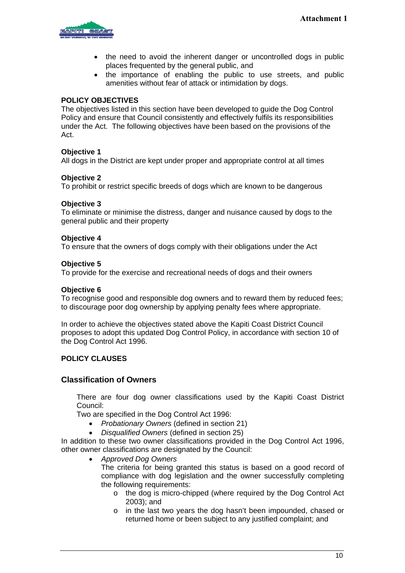<span id="page-9-0"></span>

- the need to avoid the inherent danger or uncontrolled dogs in public places frequented by the general public, and
- the importance of enabling the public to use streets, and public amenities without fear of attack or intimidation by dogs.

#### **POLICY OBJECTIVES**

The objectives listed in this section have been developed to guide the Dog Control Policy and ensure that Council consistently and effectively fulfils its responsibilities under the Act. The following objectives have been based on the provisions of the Act.

#### **Objective 1**

All dogs in the District are kept under proper and appropriate control at all times

#### **Objective 2**

To prohibit or restrict specific breeds of dogs which are known to be dangerous

#### **Objective 3**

To eliminate or minimise the distress, danger and nuisance caused by dogs to the general public and their property

#### **Objective 4**

To ensure that the owners of dogs comply with their obligations under the Act

#### **Objective 5**

To provide for the exercise and recreational needs of dogs and their owners

#### **Objective 6**

To recognise good and responsible dog owners and to reward them by reduced fees; to discourage poor dog ownership by applying penalty fees where appropriate.

In order to achieve the objectives stated above the Kapiti Coast District Council proposes to adopt this updated Dog Control Policy, in accordance with section 10 of the Dog Control Act 1996.

#### **POLICY CLAUSES**

#### **Classification of Owners**

There are four dog owner classifications used by the Kapiti Coast District Council:

Two are specified in the Dog Control Act 1996:

- *Probationary Owners* (defined in section 21)
- *Disqualified Owners* (defined in section 25)

In addition to these two owner classifications provided in the Dog Control Act 1996, other owner classifications are designated by the Council:

• *Approved Dog Owners* 

The criteria for being granted this status is based on a good record of compliance with dog legislation and the owner successfully completing the following requirements:

- o the dog is micro-chipped (where required by the Dog Control Act 2003); and
- o in the last two years the dog hasn't been impounded, chased or returned home or been subject to any justified complaint; and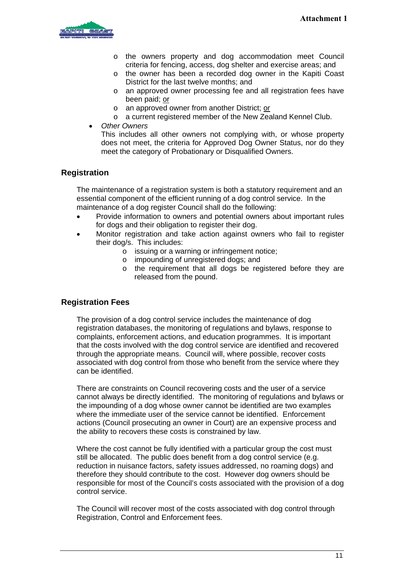<span id="page-10-0"></span>

- o the owners property and dog accommodation meet Council criteria for fencing, access, dog shelter and exercise areas; and
- o the owner has been a recorded dog owner in the Kapiti Coast District for the last twelve months; and
- o an approved owner processing fee and all registration fees have been paid; or
- o an approved owner from another District; or
- o a current registered member of the New Zealand Kennel Club.
- *Other Owners*

This includes all other owners not complying with, or whose property does not meet, the criteria for Approved Dog Owner Status, nor do they meet the category of Probationary or Disqualified Owners.

### **Registration**

The maintenance of a registration system is both a statutory requirement and an essential component of the efficient running of a dog control service. In the maintenance of a dog register Council shall do the following:

- Provide information to owners and potential owners about important rules for dogs and their obligation to register their dog.
- Monitor registration and take action against owners who fail to register their dog/s. This includes:
	- $\circ$  issuing or a warning or infringement notice:
	- o impounding of unregistered dogs; and
	- o the requirement that all dogs be registered before they are released from the pound.

#### **Registration Fees**

The provision of a dog control service includes the maintenance of dog registration databases, the monitoring of regulations and bylaws, response to complaints, enforcement actions, and education programmes. It is important that the costs involved with the dog control service are identified and recovered through the appropriate means. Council will, where possible, recover costs associated with dog control from those who benefit from the service where they can be identified.

There are constraints on Council recovering costs and the user of a service cannot always be directly identified. The monitoring of regulations and bylaws or the impounding of a dog whose owner cannot be identified are two examples where the immediate user of the service cannot be identified. Enforcement actions (Council prosecuting an owner in Court) are an expensive process and the ability to recovers these costs is constrained by law.

Where the cost cannot be fully identified with a particular group the cost must still be allocated. The public does benefit from a dog control service (e.g. reduction in nuisance factors, safety issues addressed, no roaming dogs) and therefore they should contribute to the cost. However dog owners should be responsible for most of the Council's costs associated with the provision of a dog control service.

The Council will recover most of the costs associated with dog control through Registration, Control and Enforcement fees.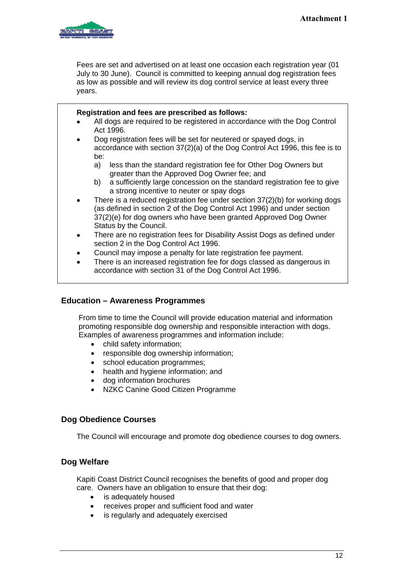<span id="page-11-0"></span>

Fees are set and advertised on at least one occasion each registration year (01 July to 30 June). Council is committed to keeping annual dog registration fees as low as possible and will review its dog control service at least every three years.

|           | Registration and fees are prescribed as follows:<br>All dogs are required to be registered in accordance with the Dog Control                                                                                                                        |
|-----------|------------------------------------------------------------------------------------------------------------------------------------------------------------------------------------------------------------------------------------------------------|
|           | Act 1996.                                                                                                                                                                                                                                            |
| $\bullet$ | Dog registration fees will be set for neutered or spayed dogs, in<br>accordance with section 37(2)(a) of the Dog Control Act 1996, this fee is to<br>be:                                                                                             |
|           | less than the standard registration fee for Other Dog Owners but<br>a)<br>greater than the Approved Dog Owner fee; and                                                                                                                               |
|           | a sufficiently large concession on the standard registration fee to give<br>b)<br>a strong incentive to neuter or spay dogs                                                                                                                          |
| $\bullet$ | There is a reduced registration fee under section 37(2)(b) for working dogs<br>(as defined in section 2 of the Dog Control Act 1996) and under section<br>37(2)(e) for dog owners who have been granted Approved Dog Owner<br>Status by the Council. |
| ٠         | There are no registration fees for Disability Assist Dogs as defined under<br>section 2 in the Dog Control Act 1996.                                                                                                                                 |
| ٠         | Council may impose a penalty for late registration fee payment.<br>There is an increased registration fee for dogs classed as dangerous in<br>accordance with section 31 of the Dog Control Act 1996.                                                |

# **Education – Awareness Programmes**

From time to time the Council will provide education material and information promoting responsible dog ownership and responsible interaction with dogs. Examples of awareness programmes and information include:

- child safety information;
- responsible dog ownership information;
- school education programmes;
- health and hygiene information; and
- dog information brochures
- NZKC Canine Good Citizen Programme

# **Dog Obedience Courses**

The Council will encourage and promote dog obedience courses to dog owners.

# **Dog Welfare**

Kapiti Coast District Council recognises the benefits of good and proper dog care. Owners have an obligation to ensure that their dog:

- is adequately housed
- receives proper and sufficient food and water
- is regularly and adequately exercised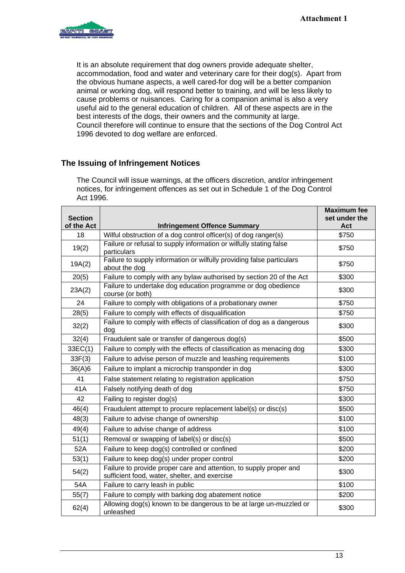<span id="page-12-0"></span>

It is an absolute requirement that dog owners provide adequate shelter, accommodation, food and water and veterinary care for their dog(s). Apart from the obvious humane aspects, a well cared-for dog will be a better companion animal or working dog, will respond better to training, and will be less likely to cause problems or nuisances. Caring for a companion animal is also a very useful aid to the general education of children. All of these aspects are in the best interests of the dogs, their owners and the community at large. Council therefore will continue to ensure that the sections of the Dog Control Act 1996 devoted to dog welfare are enforced.

# **The Issuing of Infringement Notices**

 $\overline{1}$ 

 $\mathbf{r}$ 

The Council will issue warnings, at the officers discretion, and/or infringement notices, for infringement offences as set out in Schedule 1 of the Dog Control Act 1996.

| <b>Section</b><br>of the Act | <b>Infringement Offence Summary</b>                                                                                 | <b>Maximum fee</b><br>set under the<br>Act |
|------------------------------|---------------------------------------------------------------------------------------------------------------------|--------------------------------------------|
| 18                           | Wilful obstruction of a dog control officer(s) of dog ranger(s)                                                     | \$750                                      |
| 19(2)                        | Failure or refusal to supply information or wilfully stating false<br>particulars                                   | \$750                                      |
| 19A(2)                       | Failure to supply information or wilfully providing false particulars<br>about the dog                              | \$750                                      |
| 20(5)                        | Failure to comply with any bylaw authorised by section 20 of the Act                                                | \$300                                      |
| 23A(2)                       | Failure to undertake dog education programme or dog obedience<br>course (or both)                                   | \$300                                      |
| 24                           | Failure to comply with obligations of a probationary owner                                                          | \$750                                      |
| 28(5)                        | Failure to comply with effects of disqualification                                                                  | \$750                                      |
| 32(2)                        | Failure to comply with effects of classification of dog as a dangerous<br>dog                                       | \$300                                      |
| 32(4)                        | Fraudulent sale or transfer of dangerous dog(s)                                                                     | \$500                                      |
| 33EC(1)                      | Failure to comply with the effects of classification as menacing dog                                                | \$300                                      |
| 33F(3)                       | Failure to advise person of muzzle and leashing requirements                                                        | \$100                                      |
| 36(A)6                       | Failure to implant a microchip transponder in dog                                                                   | \$300                                      |
| 41                           | False statement relating to registration application                                                                | \$750                                      |
| 41A                          | Falsely notifying death of dog                                                                                      | \$750                                      |
| 42                           | Failing to register dog(s)                                                                                          | \$300                                      |
| 46(4)                        | Fraudulent attempt to procure replacement label(s) or disc(s)                                                       | \$500                                      |
| 48(3)                        | Failure to advise change of ownership                                                                               | \$100                                      |
| 49(4)                        | Failure to advise change of address                                                                                 | \$100                                      |
| 51(1)                        | Removal or swapping of label(s) or disc(s)                                                                          | \$500                                      |
| 52A                          | Failure to keep dog(s) controlled or confined                                                                       | \$200                                      |
| 53(1)                        | Failure to keep dog(s) under proper control                                                                         | \$200                                      |
| 54(2)                        | Failure to provide proper care and attention, to supply proper and<br>sufficient food, water, shelter, and exercise | \$300                                      |
| 54A                          | Failure to carry leash in public                                                                                    | \$100                                      |
| 55(7)                        | Failure to comply with barking dog abatement notice                                                                 | \$200                                      |
| 62(4)                        | Allowing dog(s) known to be dangerous to be at large un-muzzled or<br>unleashed                                     | \$300                                      |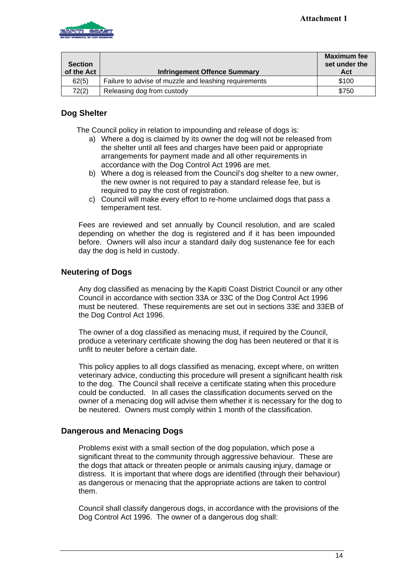<span id="page-13-0"></span>

| <b>Section</b> |                                                       | <b>Maximum fee</b><br>set under the |
|----------------|-------------------------------------------------------|-------------------------------------|
| of the Act     | <b>Infringement Offence Summary</b>                   | Act                                 |
| 62(5)          | Failure to advise of muzzle and leashing requirements | \$100                               |
| 72(2)          | Releasing dog from custody                            | \$750                               |

# **Dog Shelter**

The Council policy in relation to impounding and release of dogs is:

- a) Where a dog is claimed by its owner the dog will not be released from the shelter until all fees and charges have been paid or appropriate arrangements for payment made and all other requirements in accordance with the Dog Control Act 1996 are met.
- b) Where a dog is released from the Council's dog shelter to a new owner, the new owner is not required to pay a standard release fee, but is required to pay the cost of registration.
- c) Council will make every effort to re-home unclaimed dogs that pass a temperament test.

Fees are reviewed and set annually by Council resolution, and are scaled depending on whether the dog is registered and if it has been impounded before. Owners will also incur a standard daily dog sustenance fee for each day the dog is held in custody.

# **Neutering of Dogs**

Any dog classified as menacing by the Kapiti Coast District Council or any other Council in accordance with section 33A or 33C of the Dog Control Act 1996 must be neutered. These requirements are set out in sections 33E and 33EB of the Dog Control Act 1996.

The owner of a dog classified as menacing must, if required by the Council, produce a veterinary certificate showing the dog has been neutered or that it is unfit to neuter before a certain date.

This policy applies to all dogs classified as menacing, except where, on written veterinary advice, conducting this procedure will present a significant health risk to the dog. The Council shall receive a certificate stating when this procedure could be conducted. In all cases the classification documents served on the owner of a menacing dog will advise them whether it is necessary for the dog to be neutered. Owners must comply within 1 month of the classification.

# **Dangerous and Menacing Dogs**

Problems exist with a small section of the dog population, which pose a significant threat to the community through aggressive behaviour. These are the dogs that attack or threaten people or animals causing injury, damage or distress. It is important that where dogs are identified (through their behaviour) as dangerous or menacing that the appropriate actions are taken to control them.

Council shall classify dangerous dogs, in accordance with the provisions of the Dog Control Act 1996. The owner of a dangerous dog shall: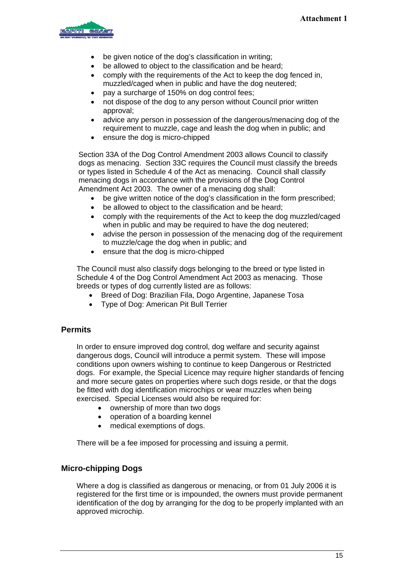<span id="page-14-0"></span>

- be given notice of the dog's classification in writing:
- be allowed to object to the classification and be heard:
- comply with the requirements of the Act to keep the dog fenced in, muzzled/caged when in public and have the dog neutered;
- pay a surcharge of 150% on dog control fees;
- not dispose of the dog to any person without Council prior written approval;
- advice any person in possession of the dangerous/menacing dog of the requirement to muzzle, cage and leash the dog when in public; and
- ensure the dog is micro-chipped

Section 33A of the Dog Control Amendment 2003 allows Council to classify dogs as menacing. Section 33C requires the Council must classify the breeds or types listed in Schedule 4 of the Act as menacing. Council shall classify menacing dogs in accordance with the provisions of the Dog Control Amendment Act 2003. The owner of a menacing dog shall:

- be give written notice of the dog's classification in the form prescribed;
- be allowed to object to the classification and be heard;
- comply with the requirements of the Act to keep the dog muzzled/caged when in public and may be required to have the dog neutered;
- advise the person in possession of the menacing dog of the requirement to muzzle/cage the dog when in public; and
- ensure that the dog is micro-chipped

The Council must also classify dogs belonging to the breed or type listed in Schedule 4 of the Dog Control Amendment Act 2003 as menacing. Those breeds or types of dog currently listed are as follows:

- Breed of Dog: Brazilian Fila, Dogo Argentine, Japanese Tosa
- Type of Dog: American Pit Bull Terrier

#### **Permits**

In order to ensure improved dog control, dog welfare and security against dangerous dogs, Council will introduce a permit system. These will impose conditions upon owners wishing to continue to keep Dangerous or Restricted dogs. For example, the Special Licence may require higher standards of fencing and more secure gates on properties where such dogs reside, or that the dogs be fitted with dog identification microchips or wear muzzles when being exercised. Special Licenses would also be required for:

- ownership of more than two dogs
- operation of a boarding kennel
- medical exemptions of dogs.

There will be a fee imposed for processing and issuing a permit.

#### **Micro-chipping Dogs**

Where a dog is classified as dangerous or menacing, or from 01 July 2006 it is registered for the first time or is impounded, the owners must provide permanent identification of the dog by arranging for the dog to be properly implanted with an approved microchip.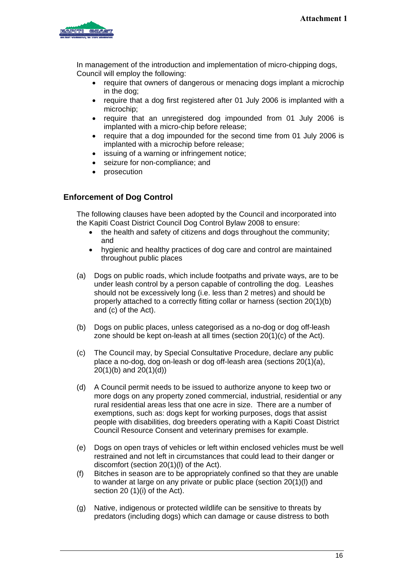<span id="page-15-0"></span>

In management of the introduction and implementation of micro-chipping dogs, Council will employ the following:

- require that owners of dangerous or menacing dogs implant a microchip in the dog;
- require that a dog first registered after 01 July 2006 is implanted with a microchip;
- require that an unregistered dog impounded from 01 July 2006 is implanted with a micro-chip before release;
- require that a dog impounded for the second time from 01 July 2006 is implanted with a microchip before release;
- issuing of a warning or infringement notice;
- seizure for non-compliance; and
- prosecution

### **Enforcement of Dog Control**

The following clauses have been adopted by the Council and incorporated into the Kapiti Coast District Council Dog Control Bylaw 2008 to ensure:

- the health and safety of citizens and dogs throughout the community; and
- hygienic and healthy practices of dog care and control are maintained throughout public places
- (a) Dogs on public roads, which include footpaths and private ways, are to be under leash control by a person capable of controlling the dog. Leashes should not be excessively long (i.e. less than 2 metres) and should be properly attached to a correctly fitting collar or harness (section 20(1)(b) and (c) of the Act).
- (b) Dogs on public places, unless categorised as a no-dog or dog off-leash zone should be kept on-leash at all times (section 20(1)(c) of the Act).
- (c) The Council may, by Special Consultative Procedure, declare any public place a no-dog, dog on-leash or dog off-leash area (sections 20(1)(a), 20(1)(b) and 20(1)(d))
- (d) A Council permit needs to be issued to authorize anyone to keep two or more dogs on any property zoned commercial, industrial, residential or any rural residential areas less that one acre in size. There are a number of exemptions, such as: dogs kept for working purposes, dogs that assist people with disabilities, dog breeders operating with a Kapiti Coast District Council Resource Consent and veterinary premises for example.
- (e) Dogs on open trays of vehicles or left within enclosed vehicles must be well restrained and not left in circumstances that could lead to their danger or discomfort (section 20(1)(l) of the Act).
- (f) Bitches in season are to be appropriately confined so that they are unable to wander at large on any private or public place (section 20(1)(l) and section 20 (1)(i) of the Act).
- (g) Native, indigenous or protected wildlife can be sensitive to threats by predators (including dogs) which can damage or cause distress to both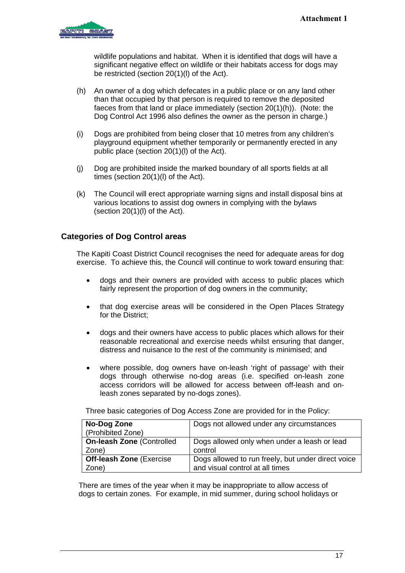<span id="page-16-0"></span>

wildlife populations and habitat. When it is identified that dogs will have a significant negative effect on wildlife or their habitats access for dogs may be restricted (section 20(1)(l) of the Act).

- (h) An owner of a dog which defecates in a public place or on any land other than that occupied by that person is required to remove the deposited faeces from that land or place immediately (section 20(1)(h)). (Note: the Dog Control Act 1996 also defines the owner as the person in charge.)
- (i) Dogs are prohibited from being closer that 10 metres from any children's playground equipment whether temporarily or permanently erected in any public place (section 20(1)(l) of the Act).
- (j) Dog are prohibited inside the marked boundary of all sports fields at all times (section 20(1)(l) of the Act).
- (k) The Council will erect appropriate warning signs and install disposal bins at various locations to assist dog owners in complying with the bylaws (section  $20(1)(I)$  of the Act).

# **Categories of Dog Control areas**

The Kapiti Coast District Council recognises the need for adequate areas for dog exercise. To achieve this, the Council will continue to work toward ensuring that:

- dogs and their owners are provided with access to public places which fairly represent the proportion of dog owners in the community;
- that dog exercise areas will be considered in the Open Places Strategy for the District;
- dogs and their owners have access to public places which allows for their reasonable recreational and exercise needs whilst ensuring that danger, distress and nuisance to the rest of the community is minimised; and
- where possible, dog owners have on-leash 'right of passage' with their dogs through otherwise no-dog areas (i.e. specified on-leash zone access corridors will be allowed for access between off-leash and onleash zones separated by no-dogs zones).

Three basic categories of Dog Access Zone are provided for in the Policy:

| No-Dog Zone                      | Dogs not allowed under any circumstances           |
|----------------------------------|----------------------------------------------------|
| (Prohibited Zone)                |                                                    |
| <b>On-leash Zone (Controlled</b> | Dogs allowed only when under a leash or lead       |
| Zone)                            | control                                            |
| <b>Off-leash Zone (Exercise)</b> | Dogs allowed to run freely, but under direct voice |
| Zone)                            | and visual control at all times                    |

There are times of the year when it may be inappropriate to allow access of dogs to certain zones. For example, in mid summer, during school holidays or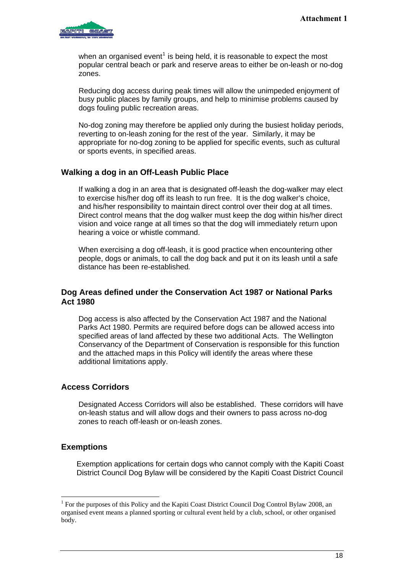<span id="page-17-0"></span>

when an organised event<sup>[1](#page-17-1)</sup> is being held, it is reasonable to expect the most popular central beach or park and reserve areas to either be on-leash or no-dog zones.

Reducing dog access during peak times will allow the unimpeded enjoyment of busy public places by family groups, and help to minimise problems caused by dogs fouling public recreation areas.

No-dog zoning may therefore be applied only during the busiest holiday periods, reverting to on-leash zoning for the rest of the year. Similarly, it may be appropriate for no-dog zoning to be applied for specific events, such as cultural or sports events, in specified areas.

# **Walking a dog in an Off-Leash Public Place**

If walking a dog in an area that is designated off-leash the dog-walker may elect to exercise his/her dog off its leash to run free. It is the dog walker's choice, and his/her responsibility to maintain direct control over their dog at all times. Direct control means that the dog walker must keep the dog within his/her direct vision and voice range at all times so that the dog will immediately return upon hearing a voice or whistle command.

When exercising a dog off-leash, it is good practice when encountering other people, dogs or animals, to call the dog back and put it on its leash until a safe distance has been re-established*.* 

### **Dog Areas defined under the Conservation Act 1987 or National Parks Act 1980**

Dog access is also affected by the Conservation Act 1987 and the National Parks Act 1980. Permits are required before dogs can be allowed access into specified areas of land affected by these two additional Acts. The Wellington Conservancy of the Department of Conservation is responsible for this function and the attached maps in this Policy will identify the areas where these additional limitations apply.

#### **Access Corridors**

Designated Access Corridors will also be established. These corridors will have on-leash status and will allow dogs and their owners to pass across no-dog zones to reach off-leash or on-leash zones.

#### **Exemptions**

 $\overline{a}$ 

Exemption applications for certain dogs who cannot comply with the Kapiti Coast District Council Dog Bylaw will be considered by the Kapiti Coast District Council

<span id="page-17-1"></span><sup>&</sup>lt;sup>1</sup> For the purposes of this Policy and the Kapiti Coast District Council Dog Control Bylaw 2008, an organised event means a planned sporting or cultural event held by a club, school, or other organised body.